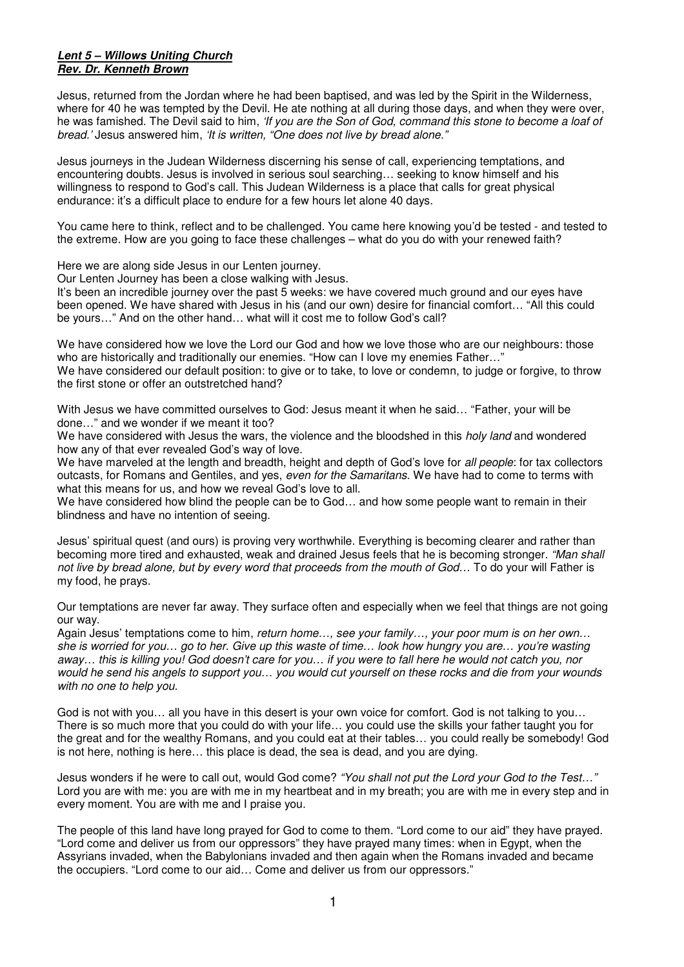## **Lent 5 – Willows Uniting Church Rev. Dr. Kenneth Brown**

Jesus, returned from the Jordan where he had been baptised, and was led by the Spirit in the Wilderness, where for 40 he was tempted by the Devil. He ate nothing at all during those days, and when they were over, he was famished. The Devil said to him, 'If you are the Son of God, command this stone to become a loaf of bread.' Jesus answered him, 'It is written, "One does not live by bread alone."

Jesus journeys in the Judean Wilderness discerning his sense of call, experiencing temptations, and encountering doubts. Jesus is involved in serious soul searching… seeking to know himself and his willingness to respond to God's call. This Judean Wilderness is a place that calls for great physical endurance: it's a difficult place to endure for a few hours let alone 40 days.

You came here to think, reflect and to be challenged. You came here knowing you'd be tested - and tested to the extreme. How are you going to face these challenges – what do you do with your renewed faith?

Here we are along side Jesus in our Lenten journey.

Our Lenten Journey has been a close walking with Jesus.

It's been an incredible journey over the past 5 weeks: we have covered much ground and our eyes have been opened. We have shared with Jesus in his (and our own) desire for financial comfort… "All this could be yours…" And on the other hand… what will it cost me to follow God's call?

We have considered how we love the Lord our God and how we love those who are our neighbours: those who are historically and traditionally our enemies. "How can I love my enemies Father…" We have considered our default position: to give or to take, to love or condemn, to judge or forgive, to throw the first stone or offer an outstretched hand?

With Jesus we have committed ourselves to God: Jesus meant it when he said… "Father, your will be done…" and we wonder if we meant it too?

We have considered with Jesus the wars, the violence and the bloodshed in this *holy land* and wondered how any of that ever revealed God's way of love.

We have marveled at the length and breadth, height and depth of God's love for all people: for tax collectors outcasts, for Romans and Gentiles, and yes, even for the Samaritans. We have had to come to terms with what this means for us, and how we reveal God's love to all.

We have considered how blind the people can be to God… and how some people want to remain in their blindness and have no intention of seeing.

Jesus' spiritual quest (and ours) is proving very worthwhile. Everything is becoming clearer and rather than becoming more tired and exhausted, weak and drained Jesus feels that he is becoming stronger. "Man shall not live by bread alone, but by every word that proceeds from the mouth of God... To do your will Father is my food, he prays.

Our temptations are never far away. They surface often and especially when we feel that things are not going our way.

Again Jesus' temptations come to him, return home..., see your family..., your poor mum is on her own... she is worried for you… go to her. Give up this waste of time… look how hungry you are… you're wasting away... this is killing you! God doesn't care for you... if you were to fall here he would not catch you, nor would he send his angels to support you… you would cut yourself on these rocks and die from your wounds with no one to help you.

God is not with you… all you have in this desert is your own voice for comfort. God is not talking to you… There is so much more that you could do with your life… you could use the skills your father taught you for the great and for the wealthy Romans, and you could eat at their tables… you could really be somebody! God is not here, nothing is here… this place is dead, the sea is dead, and you are dying.

Jesus wonders if he were to call out, would God come? "You shall not put the Lord your God to the Test..." Lord you are with me: you are with me in my heartbeat and in my breath; you are with me in every step and in every moment. You are with me and I praise you.

The people of this land have long prayed for God to come to them. "Lord come to our aid" they have prayed. "Lord come and deliver us from our oppressors" they have prayed many times: when in Egypt, when the Assyrians invaded, when the Babylonians invaded and then again when the Romans invaded and became the occupiers. "Lord come to our aid… Come and deliver us from our oppressors."